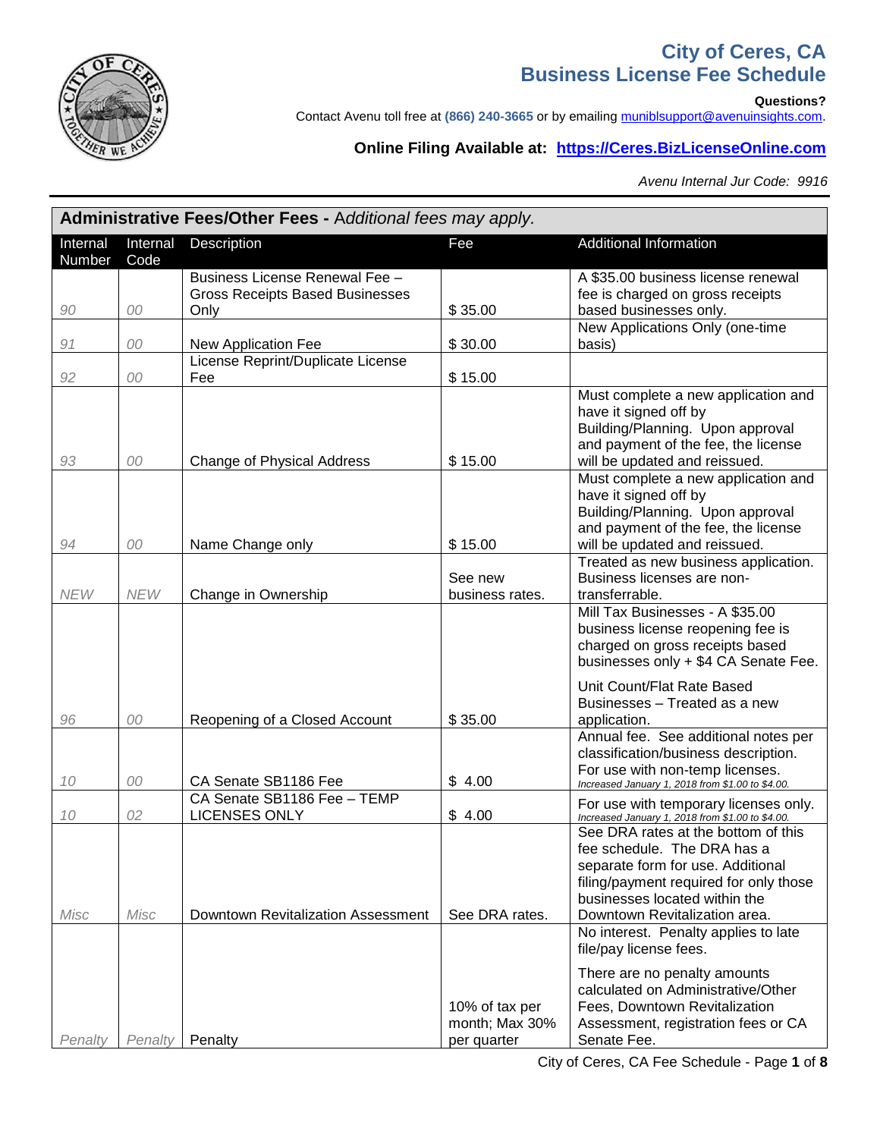

### **City of Ceres, CA Business License Fee Schedule**

**Questions?** 

Contact Avenu toll free at (866) 240-3665 or by emailing [muniblsupport@avenuinsights.com.](mailto:muniblsupport@avenuinsights.com)

#### **Online Filing Available at: [https://Ceres.BizLicenseOnline.com](https://ceres.bizlicenseonline.com/)**

*Avenu Internal Jur Code: 9916*

| Administrative Fees/Other Fees - Additional fees may apply. |                  |                                                                                  |                                                 |                                                                                                                                                                                                                                                                                       |  |  |
|-------------------------------------------------------------|------------------|----------------------------------------------------------------------------------|-------------------------------------------------|---------------------------------------------------------------------------------------------------------------------------------------------------------------------------------------------------------------------------------------------------------------------------------------|--|--|
| Internal<br>Number                                          | Internal<br>Code | Description                                                                      | Fee                                             | <b>Additional Information</b>                                                                                                                                                                                                                                                         |  |  |
| 90                                                          | 00               | Business License Renewal Fee -<br><b>Gross Receipts Based Businesses</b><br>Only | \$35.00                                         | A \$35.00 business license renewal<br>fee is charged on gross receipts<br>based businesses only.                                                                                                                                                                                      |  |  |
| 91                                                          | 00               | New Application Fee                                                              | \$30.00                                         | New Applications Only (one-time<br>basis)                                                                                                                                                                                                                                             |  |  |
| 92                                                          | 00               | License Reprint/Duplicate License<br>Fee                                         | \$15.00                                         |                                                                                                                                                                                                                                                                                       |  |  |
| 93                                                          | 00               | Change of Physical Address                                                       | \$15.00                                         | Must complete a new application and<br>have it signed off by<br>Building/Planning. Upon approval<br>and payment of the fee, the license<br>will be updated and reissued.                                                                                                              |  |  |
| 94                                                          | 00               | Name Change only                                                                 | \$15.00                                         | Must complete a new application and<br>have it signed off by<br>Building/Planning. Upon approval<br>and payment of the fee, the license<br>will be updated and reissued.                                                                                                              |  |  |
| <b>NEW</b>                                                  | <b>NEW</b>       | Change in Ownership                                                              | See new<br>business rates.                      | Treated as new business application.<br>Business licenses are non-<br>transferrable.                                                                                                                                                                                                  |  |  |
|                                                             |                  |                                                                                  |                                                 | Mill Tax Businesses - A \$35.00<br>business license reopening fee is<br>charged on gross receipts based<br>businesses only + \$4 CA Senate Fee.                                                                                                                                       |  |  |
| 96                                                          | 00               | Reopening of a Closed Account                                                    | \$35.00                                         | Unit Count/Flat Rate Based<br>Businesses - Treated as a new<br>application.                                                                                                                                                                                                           |  |  |
| 10                                                          | 00               | CA Senate SB1186 Fee                                                             | \$4.00                                          | Annual fee. See additional notes per<br>classification/business description.<br>For use with non-temp licenses.<br>Increased January 1, 2018 from \$1.00 to \$4.00.                                                                                                                   |  |  |
| 10                                                          | 02               | CA Senate SB1186 Fee - TEMP<br><b>LICENSES ONLY</b>                              | \$4.00                                          | For use with temporary licenses only.<br>Increased January 1, 2018 from \$1.00 to \$4.00.                                                                                                                                                                                             |  |  |
| Misc                                                        | Misc             | Downtown Revitalization Assessment                                               | See DRA rates.                                  | See DRA rates at the bottom of this<br>fee schedule. The DRA has a<br>separate form for use. Additional<br>filing/payment required for only those<br>businesses located within the<br>Downtown Revitalization area.<br>No interest. Penalty applies to late<br>file/pay license fees. |  |  |
| Penalty                                                     | Penalty          | Penalty                                                                          | 10% of tax per<br>month; Max 30%<br>per quarter | There are no penalty amounts<br>calculated on Administrative/Other<br>Fees, Downtown Revitalization<br>Assessment, registration fees or CA<br>Senate Fee.                                                                                                                             |  |  |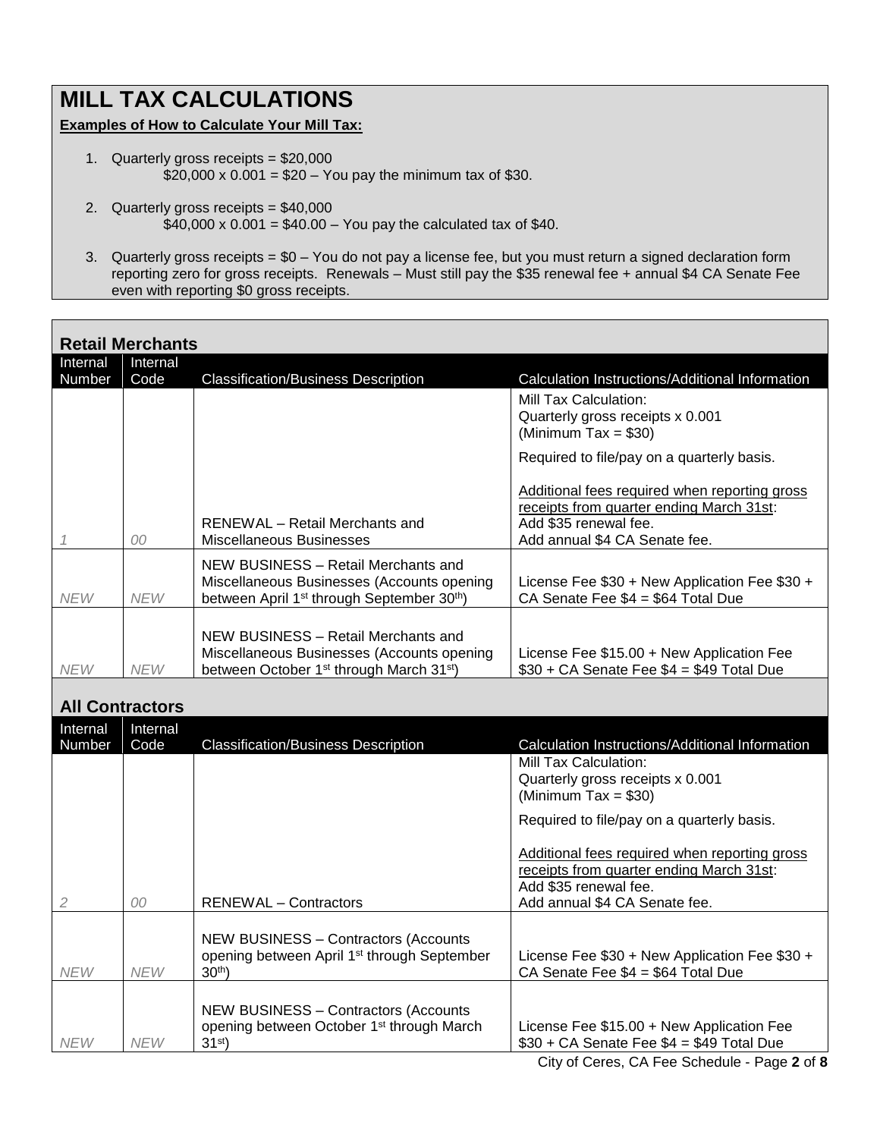## **MILL TAX CALCULATIONS**

#### **Examples of How to Calculate Your Mill Tax:**

- 1. Quarterly gross receipts = \$20,000  $$20,000 \times 0.001 = $20 - You pay the minimum tax of $30.$
- 2. Quarterly gross receipts = \$40,000  $$40,000 \times 0.001 = $40.00 - You pay the calculated tax of $40.$
- 3. Quarterly gross receipts = \$0 You do not pay a license fee, but you must return a signed declaration form reporting zero for gross receipts. Renewals – Must still pay the \$35 renewal fee + annual \$4 CA Senate Fee even with reporting \$0 gross receipts.

|                        | <b>Retail Merchants</b> |                                                                                                                                                         |                                                                                                                                                                                                   |  |  |  |  |
|------------------------|-------------------------|---------------------------------------------------------------------------------------------------------------------------------------------------------|---------------------------------------------------------------------------------------------------------------------------------------------------------------------------------------------------|--|--|--|--|
| Internal<br>Number     | Internal<br>Code        | <b>Classification/Business Description</b>                                                                                                              | Calculation Instructions/Additional Information                                                                                                                                                   |  |  |  |  |
|                        |                         |                                                                                                                                                         | Mill Tax Calculation:<br>Quarterly gross receipts x 0.001<br>(Minimum Tax = $$30$ )                                                                                                               |  |  |  |  |
| 1                      | 00                      | <b>RENEWAL</b> - Retail Merchants and<br><b>Miscellaneous Businesses</b>                                                                                | Required to file/pay on a quarterly basis.<br>Additional fees required when reporting gross<br>receipts from quarter ending March 31st:<br>Add \$35 renewal fee.<br>Add annual \$4 CA Senate fee. |  |  |  |  |
| <b>NEW</b>             | <b>NEW</b>              | NEW BUSINESS - Retail Merchants and<br>Miscellaneous Businesses (Accounts opening<br>between April 1 <sup>st</sup> through September 30 <sup>th</sup> ) | License Fee \$30 + New Application Fee \$30 +<br>CA Senate Fee \$4 = \$64 Total Due                                                                                                               |  |  |  |  |
| <b>NEW</b>             | <b>NEW</b>              | NEW BUSINESS - Retail Merchants and<br>Miscellaneous Businesses (Accounts opening<br>between October 1 <sup>st</sup> through March 31 <sup>st</sup> )   | License Fee \$15.00 + New Application Fee<br>$$30 + CA$ Senate Fee $$4 = $49$ Total Due                                                                                                           |  |  |  |  |
| <b>All Contractors</b> |                         |                                                                                                                                                         |                                                                                                                                                                                                   |  |  |  |  |
| Internal<br>Number     | Internal<br>Code        | <b>Classification/Business Description</b>                                                                                                              | Calculation Instructions/Additional Information                                                                                                                                                   |  |  |  |  |
|                        |                         |                                                                                                                                                         | Mill Tax Calculation:<br>Quarterly gross receipts x 0.001<br>(Minimum Tax = $$30$ )<br>Required to file/pay on a quarterly basis.                                                                 |  |  |  |  |
| $\mathfrak{D}$         | 00                      | <b>RENEWAL</b> - Contractors                                                                                                                            | Additional fees required when reporting gross<br>receipts from quarter ending March 31st:<br>Add \$35 renewal fee.<br>Add annual \$4 CA Senate fee.                                               |  |  |  |  |
| <b>NEW</b>             | <b>NEW</b>              | <b>NEW BUSINESS - Contractors (Accounts</b><br>opening between April 1 <sup>st</sup> through September<br>30 <sup>th</sup> )                            | License Fee \$30 + New Application Fee \$30 +<br>CA Senate Fee \$4 = \$64 Total Due                                                                                                               |  |  |  |  |
| <b>NEW</b>             | <b>NEW</b>              | <b>NEW BUSINESS - Contractors (Accounts</b><br>opening between October 1 <sup>st</sup> through March<br>31 <sup>st</sup>                                | License Fee \$15.00 + New Application Fee<br>$$30 + CA$ Senate Fee $$4 = $49$ Total Due                                                                                                           |  |  |  |  |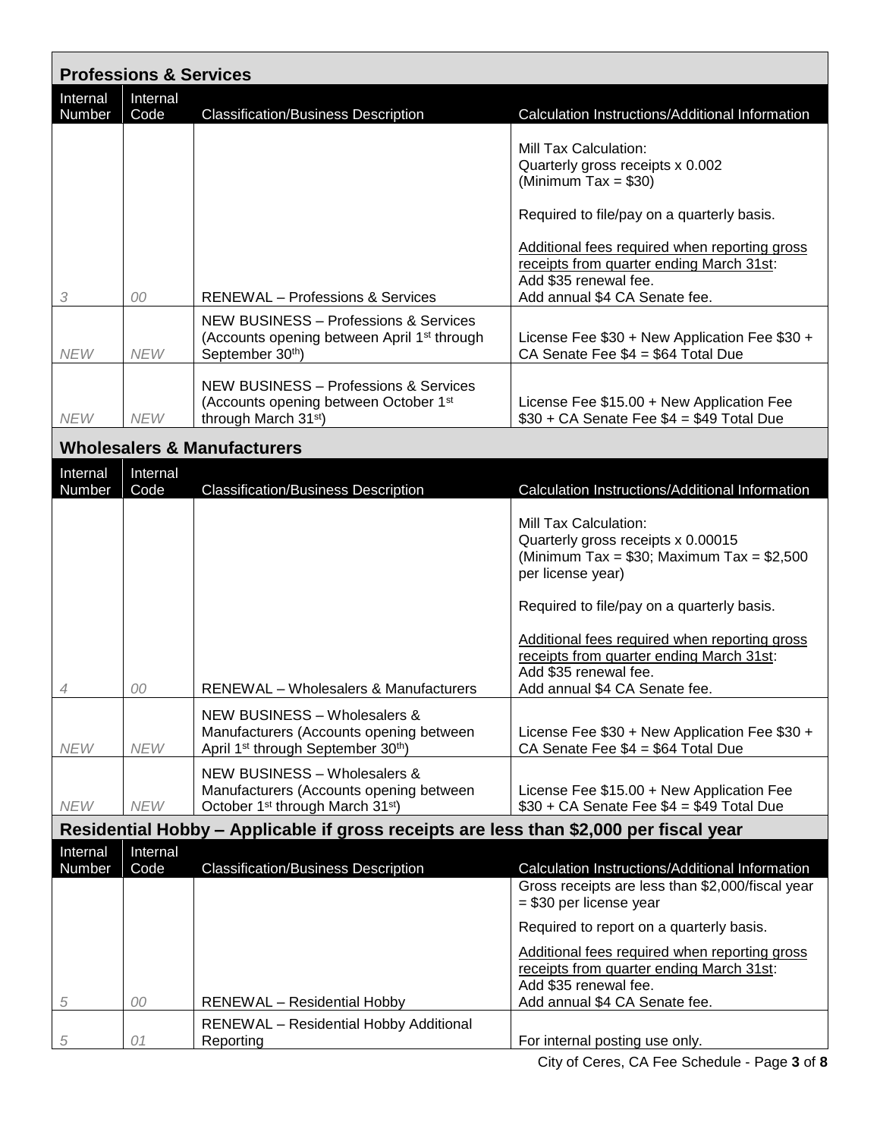| <b>Professions &amp; Services</b> |                  |                                                                                                                                           |                                                                                                                                                                                 |  |  |
|-----------------------------------|------------------|-------------------------------------------------------------------------------------------------------------------------------------------|---------------------------------------------------------------------------------------------------------------------------------------------------------------------------------|--|--|
| Internal<br>Number                | Internal<br>Code | <b>Classification/Business Description</b>                                                                                                | Calculation Instructions/Additional Information                                                                                                                                 |  |  |
|                                   |                  |                                                                                                                                           | Mill Tax Calculation:<br>Quarterly gross receipts x 0.002<br>(Minimum Tax = $$30$ )                                                                                             |  |  |
|                                   |                  |                                                                                                                                           | Required to file/pay on a quarterly basis.                                                                                                                                      |  |  |
| 3                                 | 00               | <b>RENEWAL</b> - Professions & Services                                                                                                   | Additional fees required when reporting gross<br>receipts from quarter ending March 31st:<br>Add \$35 renewal fee.<br>Add annual \$4 CA Senate fee.                             |  |  |
| <b>NEW</b>                        | <b>NEW</b>       | <b>NEW BUSINESS - Professions &amp; Services</b><br>(Accounts opening between April 1 <sup>st</sup> through<br>September 30th)            | License Fee \$30 + New Application Fee \$30 +<br>CA Senate Fee \$4 = \$64 Total Due                                                                                             |  |  |
| <b>NEW</b>                        | <b>NEW</b>       | <b>NEW BUSINESS - Professions &amp; Services</b><br>(Accounts opening between October 1 <sup>st</sup><br>through March 31 <sup>st</sup> ) | License Fee \$15.00 + New Application Fee<br>$$30 + CA$ Senate Fee $$4 = $49$ Total Due                                                                                         |  |  |
|                                   |                  | <b>Wholesalers &amp; Manufacturers</b>                                                                                                    |                                                                                                                                                                                 |  |  |
| Internal<br>Number                | Internal<br>Code | <b>Classification/Business Description</b>                                                                                                | Calculation Instructions/Additional Information                                                                                                                                 |  |  |
|                                   |                  |                                                                                                                                           | Mill Tax Calculation:<br>Quarterly gross receipts x 0.00015<br>(Minimum Tax = $$30$ ; Maximum Tax = $$2,500$<br>per license year)<br>Required to file/pay on a quarterly basis. |  |  |
| 4                                 | 00               | <b>RENEWAL</b> – Wholesalers & Manufacturers                                                                                              | Additional fees required when reporting gross<br>receipts from quarter ending March 31st:<br>Add \$35 renewal fee.<br>Add annual \$4 CA Senate fee.                             |  |  |
| <b>NEW</b>                        | <b>NEW</b>       | NEW BUSINESS - Wholesalers &<br>Manufacturers (Accounts opening between<br>April 1 <sup>st</sup> through September 30 <sup>th</sup> )     | License Fee \$30 + New Application Fee \$30 +<br>CA Senate Fee $$4 = $64$ Total Due                                                                                             |  |  |
| <b>NEW</b>                        | <b>NEW</b>       | NEW BUSINESS - Wholesalers &<br>Manufacturers (Accounts opening between<br>October 1 <sup>st</sup> through March 31 <sup>st</sup> )       | License Fee \$15.00 + New Application Fee<br>$$30 + CA$ Senate Fee $$4 = $49$ Total Due                                                                                         |  |  |
|                                   |                  | Residential Hobby – Applicable if gross receipts are less than \$2,000 per fiscal year                                                    |                                                                                                                                                                                 |  |  |
| <b>Internal</b><br>Number         | Internal<br>Code | <b>Classification/Business Description</b>                                                                                                | Calculation Instructions/Additional Information<br>Gross receipts are less than \$2,000/fiscal year<br>$= $30$ per license year                                                 |  |  |
|                                   |                  |                                                                                                                                           | Required to report on a quarterly basis.                                                                                                                                        |  |  |
| 5                                 | 00               | <b>RENEWAL</b> - Residential Hobby                                                                                                        | Additional fees required when reporting gross<br>receipts from quarter ending March 31st:<br>Add \$35 renewal fee.<br>Add annual \$4 CA Senate fee.                             |  |  |
| 5                                 | 01               | <b>RENEWAL</b> - Residential Hobby Additional<br>Reporting                                                                                | For internal posting use only.                                                                                                                                                  |  |  |

City of Ceres, CA Fee Schedule - Page **3** of **8**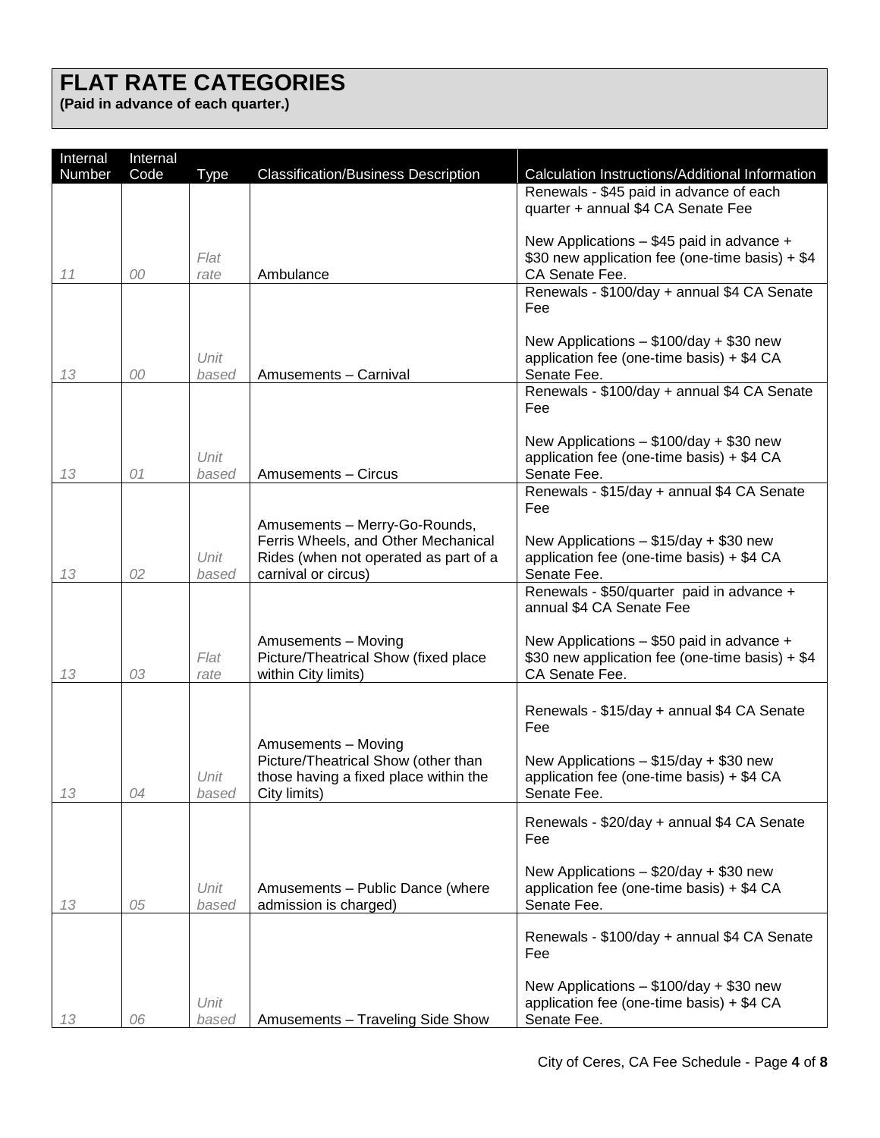# **FLAT RATE CATEGORIES**

**(Paid in advance of each quarter.)**

| Internal | Internal |               |                                                              |                                                                                              |
|----------|----------|---------------|--------------------------------------------------------------|----------------------------------------------------------------------------------------------|
| Number   | Code     | <b>Type</b>   | <b>Classification/Business Description</b>                   | Calculation Instructions/Additional Information                                              |
|          |          |               |                                                              | Renewals - \$45 paid in advance of each                                                      |
|          |          |               |                                                              | quarter + annual \$4 CA Senate Fee                                                           |
|          |          |               |                                                              | New Applications - \$45 paid in advance +                                                    |
|          |          | Flat          |                                                              | \$30 new application fee (one-time basis) + \$4                                              |
| 11       | 00       | rate          | Ambulance                                                    | CA Senate Fee.                                                                               |
|          |          |               |                                                              | Renewals - \$100/day + annual \$4 CA Senate                                                  |
|          |          |               |                                                              | Fee                                                                                          |
|          |          |               |                                                              |                                                                                              |
|          |          | Unit          |                                                              | New Applications - \$100/day + \$30 new<br>application fee (one-time basis) + \$4 CA         |
| 13       | 00       | based         | Amusements - Carnival                                        | Senate Fee.                                                                                  |
|          |          |               |                                                              | Renewals - \$100/day + annual \$4 CA Senate                                                  |
|          |          |               |                                                              | Fee                                                                                          |
|          |          |               |                                                              |                                                                                              |
|          |          | Unit          |                                                              | New Applications - \$100/day + \$30 new<br>application fee (one-time basis) + \$4 CA         |
| 13       | 01       | based         | Amusements - Circus                                          | Senate Fee.                                                                                  |
|          |          |               |                                                              | Renewals - \$15/day + annual \$4 CA Senate                                                   |
|          |          |               |                                                              | Fee                                                                                          |
|          |          |               | Amusements - Merry-Go-Rounds,                                |                                                                                              |
|          |          | Unit          | Ferris Wheels, and Other Mechanical                          | New Applications $-$ \$15/day + \$30 new                                                     |
| 13       | 02       | based         | Rides (when not operated as part of a<br>carnival or circus) | application fee (one-time basis) + \$4 CA<br>Senate Fee.                                     |
|          |          |               |                                                              | Renewals - \$50/quarter paid in advance +                                                    |
|          |          |               |                                                              | annual \$4 CA Senate Fee                                                                     |
|          |          |               |                                                              |                                                                                              |
|          |          | Flat          | Amusements - Moving<br>Picture/Theatrical Show (fixed place  | New Applications - \$50 paid in advance +<br>\$30 new application fee (one-time basis) + \$4 |
| 13       | 03       | rate          | within City limits)                                          | CA Senate Fee.                                                                               |
|          |          |               |                                                              |                                                                                              |
|          |          |               |                                                              | Renewals - \$15/day + annual \$4 CA Senate                                                   |
|          |          |               |                                                              | Fee                                                                                          |
|          |          |               | Amusements - Moving                                          |                                                                                              |
|          |          |               | Picture/Theatrical Show (other than                          | New Applications $-$ \$15/day + \$30 new                                                     |
| 13       | 04       | Unit<br>based | those having a fixed place within the<br>City limits)        | application fee (one-time basis) + \$4 CA<br>Senate Fee.                                     |
|          |          |               |                                                              |                                                                                              |
|          |          |               |                                                              | Renewals - \$20/day + annual \$4 CA Senate                                                   |
|          |          |               |                                                              | Fee                                                                                          |
|          |          |               |                                                              | New Applications - \$20/day + \$30 new                                                       |
|          |          | Unit          | Amusements - Public Dance (where                             | application fee (one-time basis) + \$4 CA                                                    |
| 13       | 05       | based         | admission is charged)                                        | Senate Fee.                                                                                  |
|          |          |               |                                                              |                                                                                              |
|          |          |               |                                                              | Renewals - \$100/day + annual \$4 CA Senate<br>Fee                                           |
|          |          |               |                                                              |                                                                                              |
|          |          |               |                                                              | New Applications - \$100/day + \$30 new                                                      |
|          |          | Unit          |                                                              | application fee (one-time basis) + \$4 CA                                                    |
| 13       | 06       | based         | Amusements - Traveling Side Show                             | Senate Fee.                                                                                  |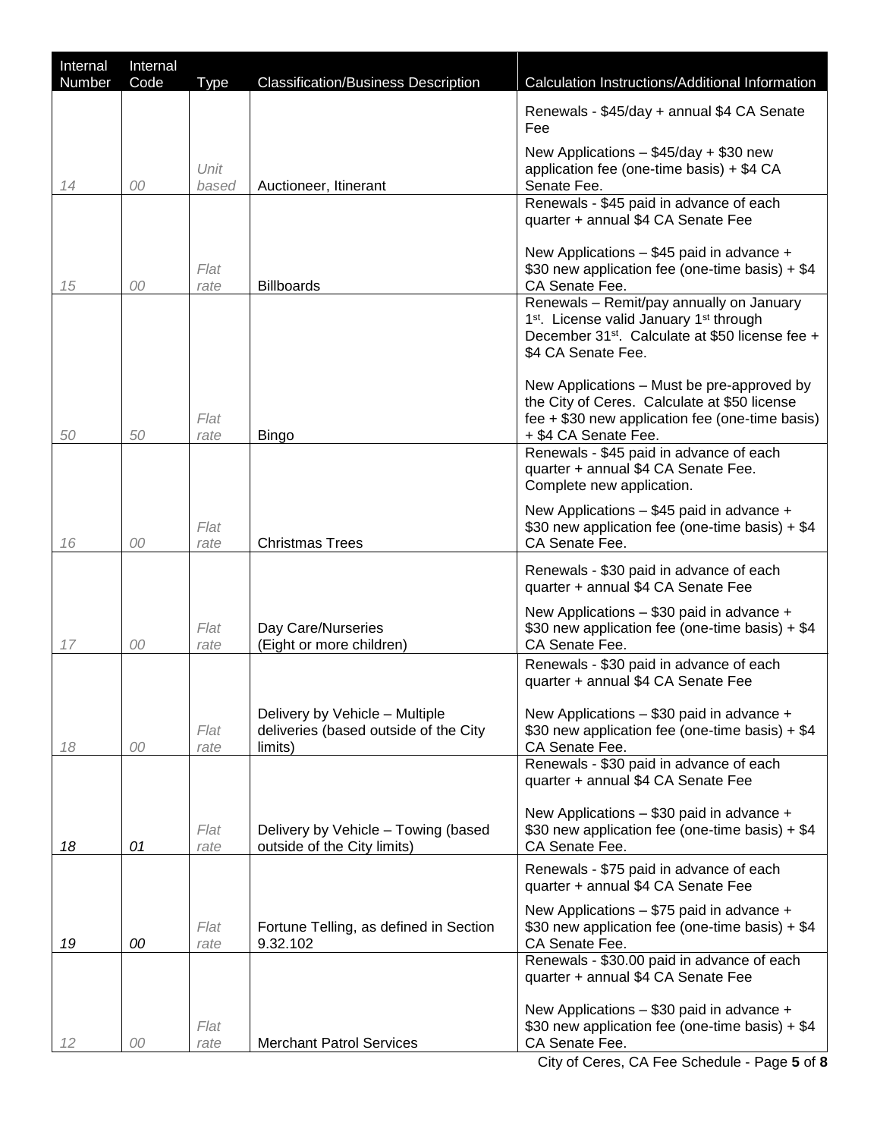| Internal<br>Number | Internal<br>Code | Type          | <b>Classification/Business Description</b>                                         | Calculation Instructions/Additional Information                                                                                                                                                  |
|--------------------|------------------|---------------|------------------------------------------------------------------------------------|--------------------------------------------------------------------------------------------------------------------------------------------------------------------------------------------------|
|                    |                  |               |                                                                                    | Renewals - \$45/day + annual \$4 CA Senate<br>Fee                                                                                                                                                |
| 14                 | 00               | Unit<br>based | Auctioneer, Itinerant                                                              | New Applications $-$ \$45/day + \$30 new<br>application fee (one-time basis) + \$4 CA<br>Senate Fee.                                                                                             |
|                    |                  |               |                                                                                    | Renewals - \$45 paid in advance of each<br>quarter + annual \$4 CA Senate Fee                                                                                                                    |
| 15                 | 00               | Flat<br>rate  | <b>Billboards</b>                                                                  | New Applications - \$45 paid in advance +<br>\$30 new application fee (one-time basis) + \$4<br>CA Senate Fee.                                                                                   |
|                    |                  |               |                                                                                    | Renewals - Remit/pay annually on January<br>1 <sup>st</sup> . License valid January 1 <sup>st</sup> through<br>December 31 <sup>st</sup> . Calculate at \$50 license fee +<br>\$4 CA Senate Fee. |
| 50                 | 50               | Flat<br>rate  | <b>Bingo</b>                                                                       | New Applications - Must be pre-approved by<br>the City of Ceres. Calculate at \$50 license<br>fee + \$30 new application fee (one-time basis)<br>+ \$4 CA Senate Fee.                            |
|                    |                  |               |                                                                                    | Renewals - \$45 paid in advance of each<br>quarter + annual \$4 CA Senate Fee.<br>Complete new application.                                                                                      |
| 16                 | 00               | Flat<br>rate  | <b>Christmas Trees</b>                                                             | New Applications - \$45 paid in advance +<br>\$30 new application fee (one-time basis) + \$4<br>CA Senate Fee.                                                                                   |
|                    |                  |               |                                                                                    | Renewals - \$30 paid in advance of each<br>quarter + annual \$4 CA Senate Fee                                                                                                                    |
| 17                 | 00               | Flat<br>rate  | Day Care/Nurseries<br>(Eight or more children)                                     | New Applications - \$30 paid in advance +<br>\$30 new application fee (one-time basis) + \$4<br>CA Senate Fee.                                                                                   |
|                    |                  |               |                                                                                    | Renewals - \$30 paid in advance of each<br>quarter + annual \$4 CA Senate Fee                                                                                                                    |
| 18                 | 00               | Flat<br>rate  | Delivery by Vehicle - Multiple<br>deliveries (based outside of the City<br>limits) | New Applications - \$30 paid in advance +<br>\$30 new application fee (one-time basis) + \$4<br>CA Senate Fee.                                                                                   |
|                    |                  |               |                                                                                    | Renewals - \$30 paid in advance of each<br>quarter + annual \$4 CA Senate Fee                                                                                                                    |
| 18                 | 01               | Flat<br>rate  | Delivery by Vehicle - Towing (based<br>outside of the City limits)                 | New Applications - \$30 paid in advance +<br>\$30 new application fee (one-time basis) + \$4<br>CA Senate Fee.                                                                                   |
|                    |                  |               |                                                                                    | Renewals - \$75 paid in advance of each<br>quarter + annual \$4 CA Senate Fee                                                                                                                    |
| 19                 | 00               | Flat<br>rate  | Fortune Telling, as defined in Section<br>9.32.102                                 | New Applications - \$75 paid in advance +<br>\$30 new application fee (one-time basis) + \$4<br>CA Senate Fee.                                                                                   |
|                    |                  |               |                                                                                    | Renewals - \$30.00 paid in advance of each<br>quarter + annual \$4 CA Senate Fee                                                                                                                 |
| 12                 | 00               | Flat<br>rate  | <b>Merchant Patrol Services</b>                                                    | New Applications - \$30 paid in advance +<br>\$30 new application fee (one-time basis) + \$4<br>CA Senate Fee.                                                                                   |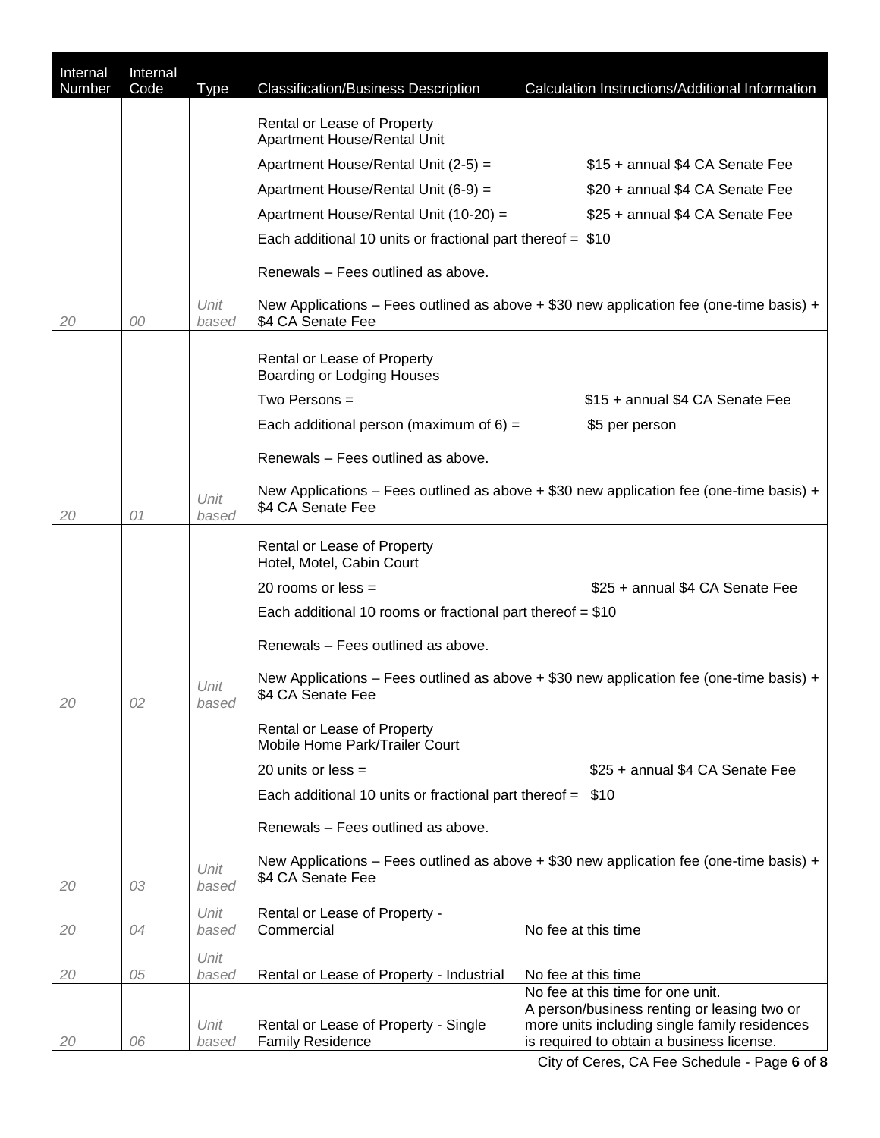| Internal<br>Number | Internal<br>Code | <b>Type</b>   | <b>Classification/Business Description</b>                      | Calculation Instructions/Additional Information                                            |
|--------------------|------------------|---------------|-----------------------------------------------------------------|--------------------------------------------------------------------------------------------|
|                    |                  |               |                                                                 |                                                                                            |
|                    |                  |               | Rental or Lease of Property<br>Apartment House/Rental Unit      |                                                                                            |
|                    |                  |               | Apartment House/Rental Unit (2-5) =                             | \$15 + annual \$4 CA Senate Fee                                                            |
|                    |                  |               | Apartment House/Rental Unit (6-9) =                             | \$20 + annual \$4 CA Senate Fee                                                            |
|                    |                  |               | Apartment House/Rental Unit (10-20) =                           | \$25 + annual \$4 CA Senate Fee                                                            |
|                    |                  |               | Each additional 10 units or fractional part thereof $= $10$     |                                                                                            |
|                    |                  |               | Renewals - Fees outlined as above.                              |                                                                                            |
| 20                 | 00               | Unit<br>based | \$4 CA Senate Fee                                               | New Applications – Fees outlined as above $+$ \$30 new application fee (one-time basis) +  |
|                    |                  |               | Rental or Lease of Property<br>Boarding or Lodging Houses       |                                                                                            |
|                    |                  |               | Two Persons $=$                                                 | \$15 + annual \$4 CA Senate Fee                                                            |
|                    |                  |               | Each additional person (maximum of $6$ ) =                      | \$5 per person                                                                             |
|                    |                  |               | Renewals - Fees outlined as above.                              |                                                                                            |
|                    |                  |               |                                                                 | New Applications – Fees outlined as above $+$ \$30 new application fee (one-time basis) +  |
| 20                 | 01               | Unit<br>based | \$4 CA Senate Fee                                               |                                                                                            |
|                    |                  |               | Rental or Lease of Property                                     |                                                                                            |
|                    |                  |               | Hotel, Motel, Cabin Court                                       |                                                                                            |
|                    |                  |               | 20 rooms or less $=$                                            | \$25 + annual \$4 CA Senate Fee                                                            |
|                    |                  |               | Each additional 10 rooms or fractional part thereof $= $10$     |                                                                                            |
|                    |                  |               | Renewals - Fees outlined as above.                              |                                                                                            |
| 20                 | 02               | Unit<br>based | \$4 CA Senate Fee                                               | New Applications – Fees outlined as above $+$ \$30 new application fee (one-time basis) +  |
|                    |                  |               | Rental or Lease of Property<br>Mobile Home Park/Trailer Court   |                                                                                            |
|                    |                  |               | 20 units or less $=$                                            | \$25 + annual \$4 CA Senate Fee                                                            |
|                    |                  |               | Each additional 10 units or fractional part thereof $=$ \$10    |                                                                                            |
|                    |                  |               | Renewals - Fees outlined as above.                              |                                                                                            |
| 20                 | 03               | Unit<br>based | \$4 CA Senate Fee                                               | New Applications - Fees outlined as above + \$30 new application fee (one-time basis) +    |
| 20                 | 04               | Unit<br>based | Rental or Lease of Property -<br>Commercial                     | No fee at this time                                                                        |
|                    |                  | Unit          |                                                                 |                                                                                            |
| 20                 | 05               | based         | Rental or Lease of Property - Industrial                        | No fee at this time<br>No fee at this time for one unit.                                   |
|                    |                  |               |                                                                 | A person/business renting or leasing two or                                                |
| 20                 | 06               | Unit<br>based | Rental or Lease of Property - Single<br><b>Family Residence</b> | more units including single family residences<br>is required to obtain a business license. |
|                    |                  |               |                                                                 |                                                                                            |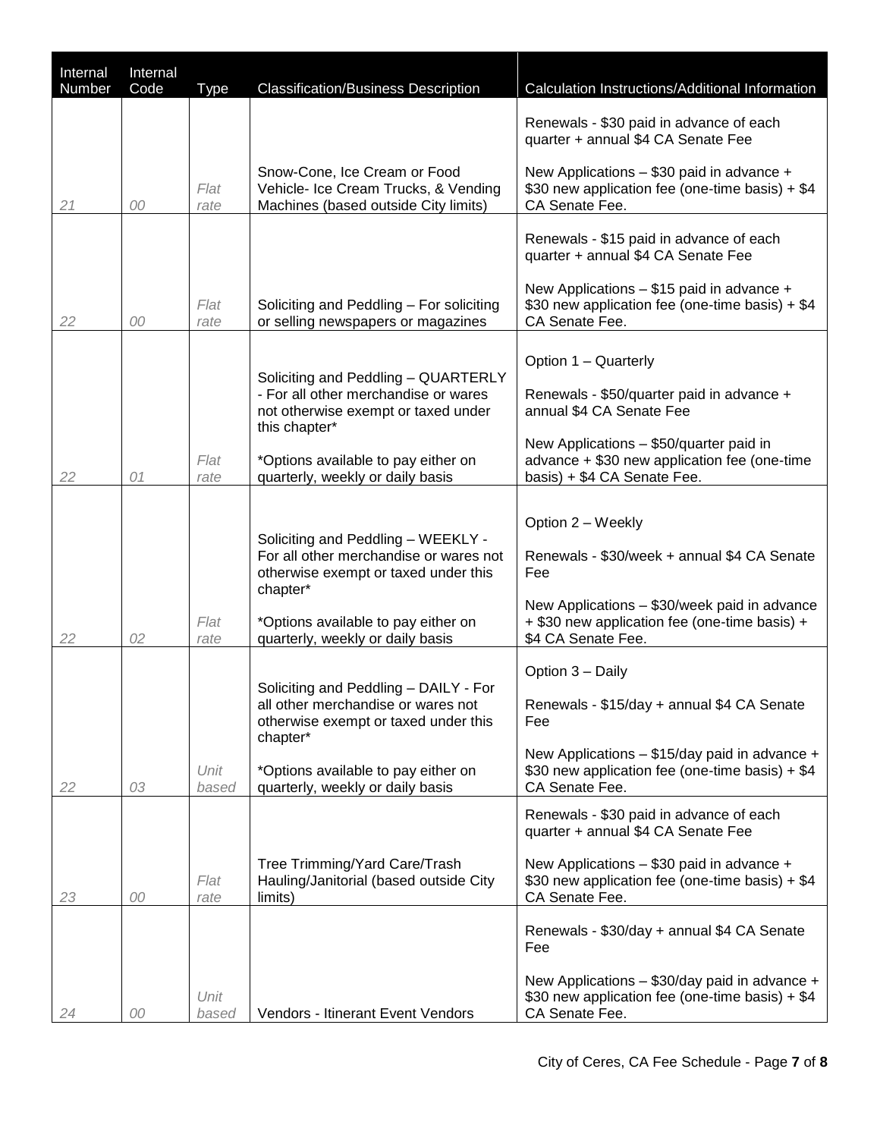| Internal | Internal |               |                                                                                                                                                                                                             |                                                                                                                                                                                                 |
|----------|----------|---------------|-------------------------------------------------------------------------------------------------------------------------------------------------------------------------------------------------------------|-------------------------------------------------------------------------------------------------------------------------------------------------------------------------------------------------|
| Number   | Code     | Type          | <b>Classification/Business Description</b>                                                                                                                                                                  | Calculation Instructions/Additional Information                                                                                                                                                 |
|          |          |               |                                                                                                                                                                                                             | Renewals - \$30 paid in advance of each<br>quarter + annual \$4 CA Senate Fee                                                                                                                   |
| 21       | 00       | Flat<br>rate  | Snow-Cone, Ice Cream or Food<br>Vehicle- Ice Cream Trucks, & Vending<br>Machines (based outside City limits)                                                                                                | New Applications - \$30 paid in advance +<br>\$30 new application fee (one-time basis) + \$4<br>CA Senate Fee.                                                                                  |
|          |          |               |                                                                                                                                                                                                             | Renewals - \$15 paid in advance of each<br>quarter + annual \$4 CA Senate Fee                                                                                                                   |
| 22       | 00       | Flat<br>rate  | Soliciting and Peddling - For soliciting<br>or selling newspapers or magazines                                                                                                                              | New Applications - \$15 paid in advance +<br>\$30 new application fee (one-time basis) + \$4<br>CA Senate Fee.                                                                                  |
|          |          |               |                                                                                                                                                                                                             | Option 1 - Quarterly                                                                                                                                                                            |
|          |          |               | Soliciting and Peddling - QUARTERLY<br>- For all other merchandise or wares<br>not otherwise exempt or taxed under<br>this chapter*                                                                         | Renewals - \$50/quarter paid in advance +<br>annual \$4 CA Senate Fee                                                                                                                           |
| 22       | 01       | Flat<br>rate  | *Options available to pay either on<br>quarterly, weekly or daily basis                                                                                                                                     | New Applications - \$50/quarter paid in<br>advance + \$30 new application fee (one-time<br>basis) + \$4 CA Senate Fee.                                                                          |
| 22       | 02       | Flat<br>rate  | Soliciting and Peddling - WEEKLY -<br>For all other merchandise or wares not<br>otherwise exempt or taxed under this<br>chapter*<br>*Options available to pay either on<br>quarterly, weekly or daily basis | Option 2 – Weekly<br>Renewals - \$30/week + annual \$4 CA Senate<br>Fee<br>New Applications - \$30/week paid in advance<br>+ \$30 new application fee (one-time basis) +<br>\$4 CA Senate Fee.  |
| 22       | 03       | Unit<br>based | Soliciting and Peddling - DAILY - For<br>all other merchandise or wares not<br>otherwise exempt or taxed under this<br>chapter*<br>*Options available to pay either on<br>quarterly, weekly or daily basis  | Option 3 - Daily<br>Renewals - \$15/day + annual \$4 CA Senate<br>Fee<br>New Applications - \$15/day paid in advance +<br>\$30 new application fee (one-time basis) + \$4<br>CA Senate Fee.     |
| 23       | 00       | Flat<br>rate  | Tree Trimming/Yard Care/Trash<br>Hauling/Janitorial (based outside City<br>limits)                                                                                                                          | Renewals - \$30 paid in advance of each<br>quarter + annual \$4 CA Senate Fee<br>New Applications - \$30 paid in advance +<br>\$30 new application fee (one-time basis) + \$4<br>CA Senate Fee. |
| 24       | 00       | Unit<br>based | Vendors - Itinerant Event Vendors                                                                                                                                                                           | Renewals - \$30/day + annual \$4 CA Senate<br>Fee<br>New Applications - \$30/day paid in advance +<br>\$30 new application fee (one-time basis) + \$4<br>CA Senate Fee.                         |